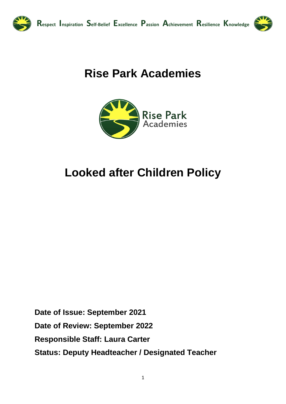

# **Rise Park Academies**



# **Looked after Children Policy**

Date of Issue: September 2021 Date of Review: September 2022 **Responsible Staff: Laura Carter Status: Deputy Headteacher / Designated Teacher**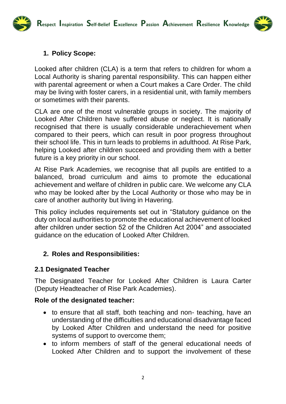**Respect Inspiration Self-Belief Excellence Passion Achievement Resilience Knowledge**



### **1. Policy Scope:**

Looked after children (CLA) is a term that refers to children for whom a Local Authority is sharing parental responsibility. This can happen either with parental agreement or when a Court makes a Care Order. The child may be living with foster carers, in a residential unit, with family members or sometimes with their parents.

CLA are one of the most vulnerable groups in society. The majority of Looked After Children have suffered abuse or neglect. It is nationally recognised that there is usually considerable underachievement when compared to their peers, which can result in poor progress throughout their school life. This in turn leads to problems in adulthood. At Rise Park, helping Looked after children succeed and providing them with a better future is a key priority in our school.

At Rise Park Academies, we recognise that all pupils are entitled to a balanced, broad curriculum and aims to promote the educational achievement and welfare of children in public care. We welcome any CLA who may be looked after by the Local Authority or those who may be in care of another authority but living in Havering.

This policy includes requirements set out in "Statutory guidance on the duty on local authorities to promote the educational achievement of looked after children under section 52 of the Children Act 2004" and associated guidance on the education of Looked After Children.

## **2. Roles and Responsibilities:**

#### **2.1 Designated Teacher**

The Designated Teacher for Looked After Children is Laura Carter (Deputy Headteacher of Rise Park Academies).

#### **Role of the designated teacher:**

- to ensure that all staff, both teaching and non- teaching, have an understanding of the difficulties and educational disadvantage faced by Looked After Children and understand the need for positive systems of support to overcome them;
- to inform members of staff of the general educational needs of Looked After Children and to support the involvement of these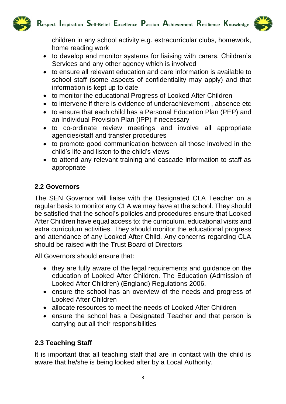



children in any school activity e.g. extracurricular clubs, homework, home reading work

- to develop and monitor systems for liaising with carers, Children's Services and any other agency which is involved
- to ensure all relevant education and care information is available to school staff (some aspects of confidentiality may apply) and that information is kept up to date
- to monitor the educational Progress of Looked After Children
- to intervene if there is evidence of underachievement, absence etc
- to ensure that each child has a Personal Education Plan (PEP) and an Individual Provision Plan (IPP) if necessary
- to co-ordinate review meetings and involve all appropriate agencies/staff and transfer procedures
- to promote good communication between all those involved in the child's life and listen to the child's views
- to attend any relevant training and cascade information to staff as appropriate

## **2.2 Governors**

The SEN Governor will liaise with the Designated CLA Teacher on a regular basis to monitor any CLA we may have at the school. They should be satisfied that the school's policies and procedures ensure that Looked After Children have equal access to: the curriculum, educational visits and extra curriculum activities. They should monitor the educational progress and attendance of any Looked After Child. Any concerns regarding CLA should be raised with the Trust Board of Directors

All Governors should ensure that:

- they are fully aware of the legal requirements and guidance on the education of Looked After Children. The Education (Admission of Looked After Children) (England) Regulations 2006.
- ensure the school has an overview of the needs and progress of Looked After Children
- allocate resources to meet the needs of Looked After Children
- ensure the school has a Designated Teacher and that person is carrying out all their responsibilities

## **2.3 Teaching Staff**

It is important that all teaching staff that are in contact with the child is aware that he/she is being looked after by a Local Authority.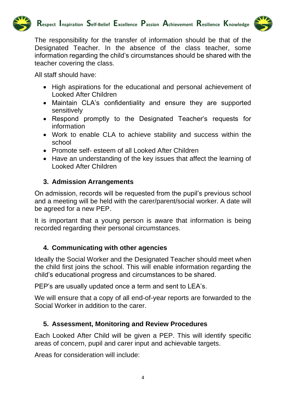



The responsibility for the transfer of information should be that of the Designated Teacher. In the absence of the class teacher, some information regarding the child's circumstances should be shared with the teacher covering the class.

All staff should have:

- High aspirations for the educational and personal achievement of Looked After Children
- Maintain CLA's confidentiality and ensure they are supported sensitively
- Respond promptly to the Designated Teacher's requests for information
- Work to enable CLA to achieve stability and success within the school
- Promote self- esteem of all Looked After Children
- Have an understanding of the key issues that affect the learning of Looked After Children

## **3. Admission Arrangements**

On admission, records will be requested from the pupil's previous school and a meeting will be held with the carer/parent/social worker. A date will be agreed for a new PEP.

It is important that a young person is aware that information is being recorded regarding their personal circumstances.

## **4. Communicating with other agencies**

Ideally the Social Worker and the Designated Teacher should meet when the child first joins the school. This will enable information regarding the child's educational progress and circumstances to be shared.

PEP's are usually updated once a term and sent to LEA's.

We will ensure that a copy of all end-of-year reports are forwarded to the Social Worker in addition to the carer.

## **5. Assessment, Monitoring and Review Procedures**

Each Looked After Child will be given a PEP. This will identify specific areas of concern, pupil and carer input and achievable targets.

Areas for consideration will include: